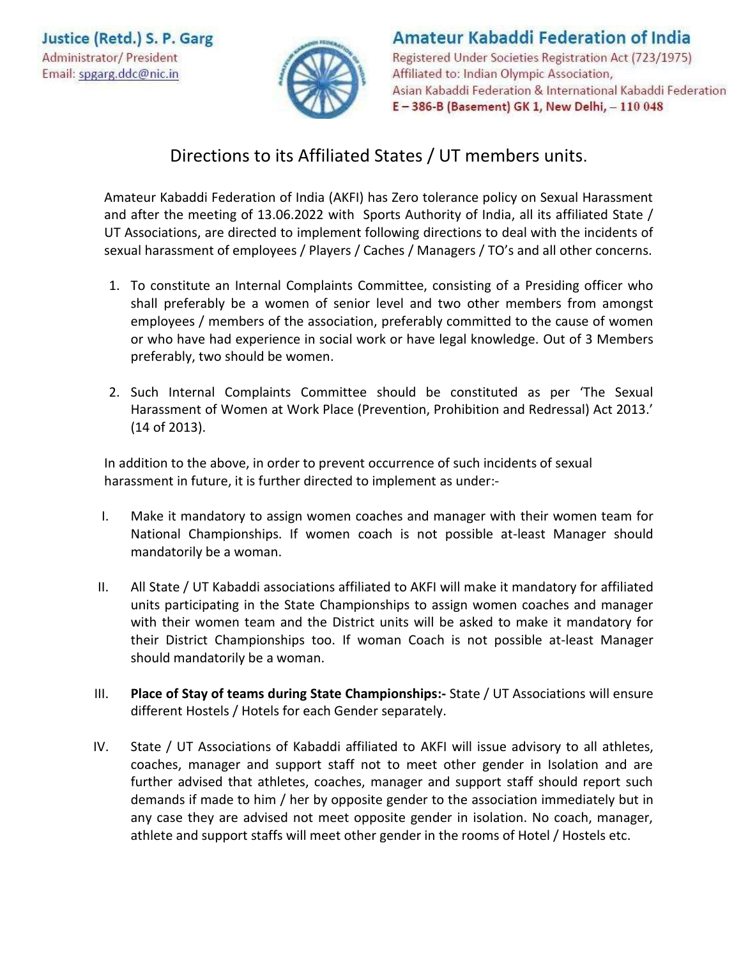

## **Amateur Kabaddi Federation of India** Registered Under Societies Registration Act (723/1975) Affiliated to: Indian Olympic Association, Asian Kabaddi Federation & International Kabaddi Federation

E-386-B (Basement) GK 1, New Delhi, - 110 048

## Directions to its Affiliated States / UT members units.

Amateur Kabaddi Federation of India (AKFI) has Zero tolerance policy on Sexual Harassment and after the meeting of 13.06.2022 with Sports Authority of India, all its affiliated State / UT Associations, are directed to implement following directions to deal with the incidents of sexual harassment of employees / Players / Caches / Managers / TO's and all other concerns.

- 1. To constitute an Internal Complaints Committee, consisting of a Presiding officer who shall preferably be a women of senior level and two other members from amongst employees / members of the association, preferably committed to the cause of women or who have had experience in social work or have legal knowledge. Out of 3 Members preferably, two should be women.
- 2. Such Internal Complaints Committee should be constituted as per 'The Sexual Harassment of Women at Work Place (Prevention, Prohibition and Redressal) Act 2013.' (14 of 2013).

In addition to the above, in order to prevent occurrence of such incidents of sexual harassment in future, it is further directed to implement as under:-

- I. Make it mandatory to assign women coaches and manager with their women team for National Championships. If women coach is not possible at-least Manager should mandatorily be a woman.
- II. All State / UT Kabaddi associations affiliated to AKFI will make it mandatory for affiliated units participating in the State Championships to assign women coaches and manager with their women team and the District units will be asked to make it mandatory for their District Championships too. If woman Coach is not possible at-least Manager should mandatorily be a woman.
- III. **Place of Stay of teams during State Championships:-** State / UT Associations will ensure different Hostels / Hotels for each Gender separately.
- IV. State / UT Associations of Kabaddi affiliated to AKFI will issue advisory to all athletes, coaches, manager and support staff not to meet other gender in Isolation and are further advised that athletes, coaches, manager and support staff should report such demands if made to him / her by opposite gender to the association immediately but in any case they are advised not meet opposite gender in isolation. No coach, manager, athlete and support staffs will meet other gender in the rooms of Hotel / Hostels etc.